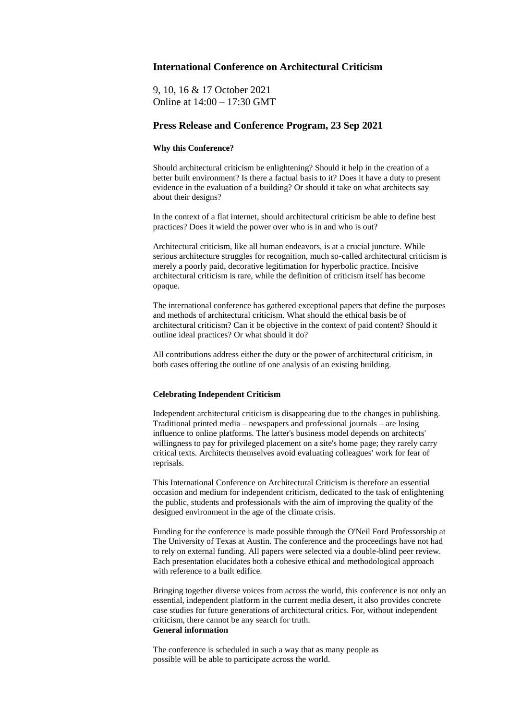# **International Conference on Architectural Criticism**

9, 10, 16 & 17 October 2021 Online at 14:00 – 17:30 GMT

# **Press Release and Conference Program, 23 Sep 2021**

## **Why this Conference?**

Should architectural criticism be enlightening? Should it help in the creation of a better built environment? Is there a factual basis to it? Does it have a duty to present evidence in the evaluation of a building? Or should it take on what architects say about their designs?

In the context of a flat internet, should architectural criticism be able to define best practices? Does it wield the power over who is in and who is out?

Architectural criticism, like all human endeavors, is at a crucial juncture. While serious architecture struggles for recognition, much so-called architectural criticism is merely a poorly paid, decorative legitimation for hyperbolic practice. Incisive architectural criticism is rare, while the definition of criticism itself has become opaque.

The international conference has gathered exceptional papers that define the purposes and methods of architectural criticism. What should the ethical basis be of architectural criticism? Can it be objective in the context of paid content? Should it outline ideal practices? Or what should it do?

All contributions address either the duty or the power of architectural criticism, in both cases offering the outline of one analysis of an existing building.

# **Celebrating Independent Criticism**

Independent architectural criticism is disappearing due to the changes in publishing. Traditional printed media – newspapers and professional journals – are losing influence to online platforms. The latter's business model depends on architects' willingness to pay for privileged placement on a site's home page; they rarely carry critical texts. Architects themselves avoid evaluating colleagues' work for fear of reprisals.

This International Conference on Architectural Criticism is therefore an essential occasion and medium for independent criticism, dedicated to the task of enlightening the public, students and professionals with the aim of improving the quality of the designed environment in the age of the climate crisis.

Funding for the conference is made possible through the O'Neil Ford Professorship at The University of Texas at Austin. The conference and the proceedings have not had to rely on external funding. All papers were selected via a double-blind peer review. Each presentation elucidates both a cohesive ethical and methodological approach with reference to a built edifice.

Bringing together diverse voices from across the world, this conference is not only an essential, independent platform in the current media desert, it also provides concrete case studies for future generations of architectural critics. For, without independent criticism, there cannot be any search for truth. **General information**

The conference is scheduled in such a way that as many people as possible will be able to participate across the world.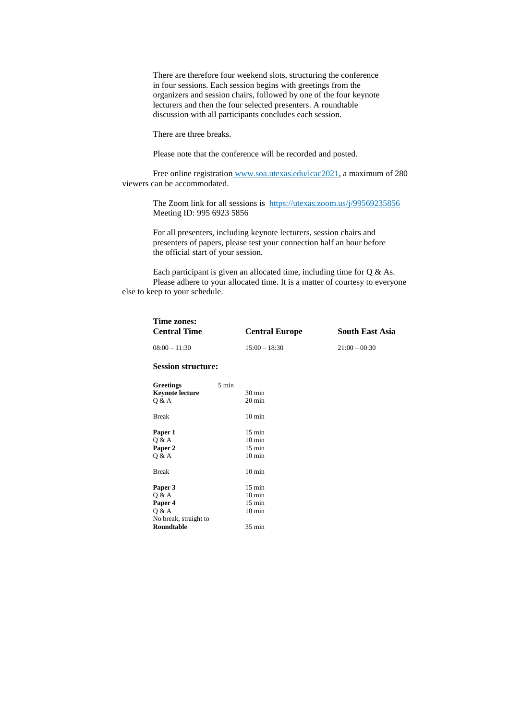There are therefore four weekend slots, structuring the conference in four sessions. Each session begins with greetings from the organizers and session chairs, followed by one of the four keynote lecturers and then the four selected presenters. A roundtable discussion with all participants concludes each session.

There are three breaks.

Please note that the conference will be recorded and posted.

Free online registration www.soa.utexas.edu/icac2021, a maximum of 280 viewers can be accommodated.

> The Zoom link for all sessions is https://utexas.zoom.us/j/99569235856 Meeting ID: 995 6923 5856

For all presenters, including keynote lecturers, session chairs and presenters of papers, please test your connection half an hour before the official start of your session.

Each participant is given an allocated time, including time for Q & As. Please adhere to your allocated time. It is a matter of courtesy to everyone else to keep to your schedule.

| Time zones:<br><b>Central Time</b> |                 | <b>Central Europe</b> | <b>South East Asia</b> |
|------------------------------------|-----------------|-----------------------|------------------------|
| $08:00 - 11:30$                    |                 | $15:00 - 18:30$       | $21:00 - 00:30$        |
| <b>Session structure:</b>          |                 |                       |                        |
| <b>Greetings</b>                   | $5 \text{ min}$ |                       |                        |
| <b>Keynote lecture</b>             |                 | $30 \text{ min}$      |                        |
| Q & A                              |                 | 20 min                |                        |
| <b>Break</b>                       |                 | $10 \text{ min}$      |                        |
| Paper 1                            |                 | $15 \text{ min}$      |                        |
| Q & A                              |                 | $10 \text{ min}$      |                        |
| Paper 2                            |                 | $15 \text{ min}$      |                        |
| Q & A                              |                 | $10 \text{ min}$      |                        |
| <b>Break</b>                       |                 | $10 \text{ min}$      |                        |
| Paper 3                            |                 | $15 \text{ min}$      |                        |
| Q & A                              |                 | $10 \text{ min}$      |                        |
| Paper 4                            |                 | $15 \text{ min}$      |                        |
| Q & A                              |                 | $10 \text{ min}$      |                        |
| No break, straight to              |                 |                       |                        |
| Roundtable                         |                 | $35 \text{ min}$      |                        |